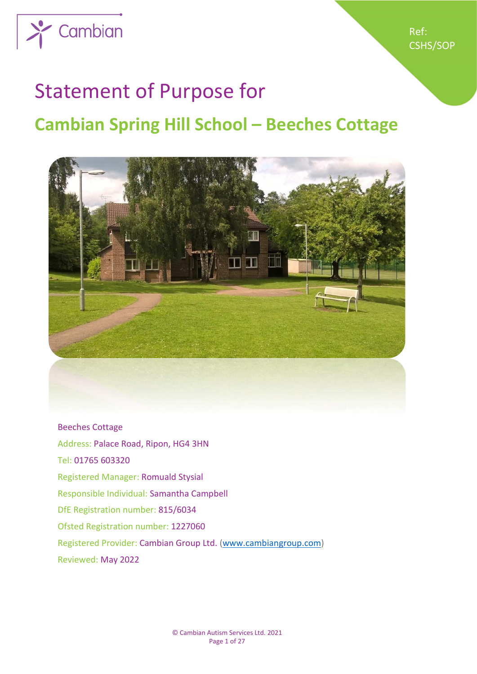

# Statement of Purpose for

# **Cambian Spring Hill School – Beeches Cottage**



Beeches Cottage Address: Palace Road, Ripon, HG4 3HN Tel: 01765 603320 Registered Manager: Romuald Stysial Responsible Individual: Samantha Campbell DfE Registration number: 815/6034 Ofsted Registration number: 1227060 Registered Provider: Cambian Group Ltd. [\(www.cambiangroup.com\)](http://www.cambiangroup.com/) Reviewed: May 2022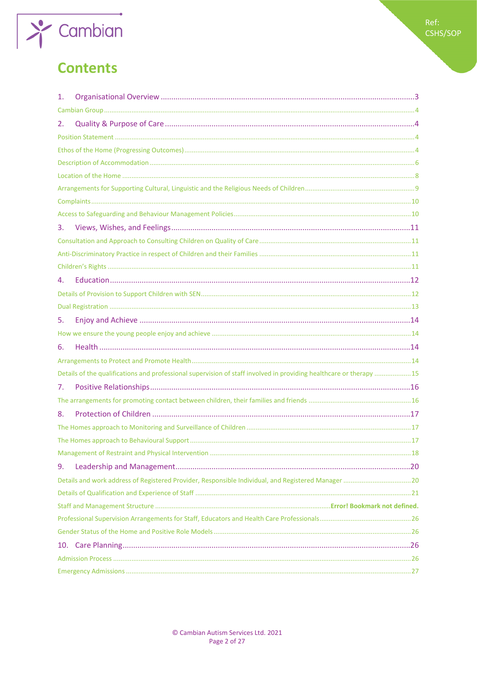

# **Contents**

| 1. |                                                                                                                    |  |
|----|--------------------------------------------------------------------------------------------------------------------|--|
|    |                                                                                                                    |  |
| 2. |                                                                                                                    |  |
|    |                                                                                                                    |  |
|    |                                                                                                                    |  |
|    |                                                                                                                    |  |
|    |                                                                                                                    |  |
|    |                                                                                                                    |  |
|    |                                                                                                                    |  |
|    |                                                                                                                    |  |
| 3. |                                                                                                                    |  |
|    |                                                                                                                    |  |
|    |                                                                                                                    |  |
|    |                                                                                                                    |  |
| 4. |                                                                                                                    |  |
|    |                                                                                                                    |  |
|    |                                                                                                                    |  |
| 5. |                                                                                                                    |  |
|    |                                                                                                                    |  |
| 6. |                                                                                                                    |  |
|    |                                                                                                                    |  |
|    | Details of the qualifications and professional supervision of staff involved in providing healthcare or therapy 15 |  |
| 7. |                                                                                                                    |  |
|    |                                                                                                                    |  |
| 8. |                                                                                                                    |  |
|    |                                                                                                                    |  |
|    |                                                                                                                    |  |
|    |                                                                                                                    |  |
| 9. |                                                                                                                    |  |
|    |                                                                                                                    |  |
|    |                                                                                                                    |  |
|    |                                                                                                                    |  |
|    |                                                                                                                    |  |
|    |                                                                                                                    |  |
|    |                                                                                                                    |  |
|    |                                                                                                                    |  |
|    |                                                                                                                    |  |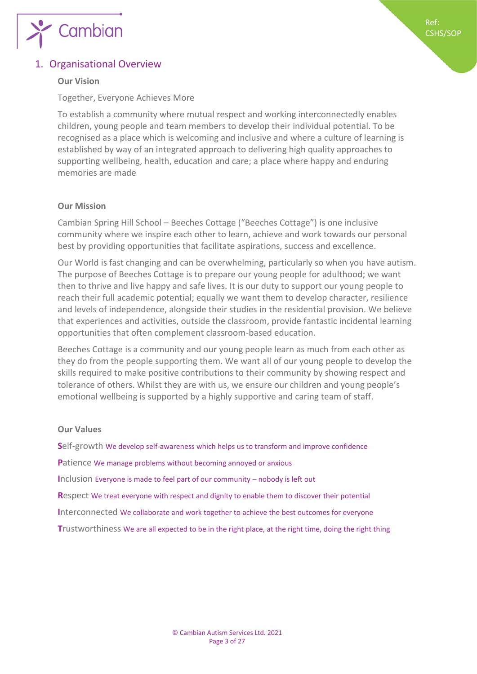

# <span id="page-2-0"></span>**Our Vision**

Together, Everyone Achieves More

To establish a community where mutual respect and working interconnectedly enables children, young people and team members to develop their individual potential. To be recognised as a place which is welcoming and inclusive and where a culture of learning is established by way of an integrated approach to delivering high quality approaches to supporting wellbeing, health, education and care; a place where happy and enduring memories are made

# **Our Mission**

Cambian Spring Hill School – Beeches Cottage ("Beeches Cottage") is one inclusive community where we inspire each other to learn, achieve and work towards our personal best by providing opportunities that facilitate aspirations, success and excellence.

Our World is fast changing and can be overwhelming, particularly so when you have autism. The purpose of Beeches Cottage is to prepare our young people for adulthood; we want then to thrive and live happy and safe lives. It is our duty to support our young people to reach their full academic potential; equally we want them to develop character, resilience and levels of independence, alongside their studies in the residential provision. We believe that experiences and activities, outside the classroom, provide fantastic incidental learning opportunities that often complement classroom-based education.

Beeches Cottage is a community and our young people learn as much from each other as they do from the people supporting them. We want all of our young people to develop the skills required to make positive contributions to their community by showing respect and tolerance of others. Whilst they are with us, we ensure our children and young people's emotional wellbeing is supported by a highly supportive and caring team of staff.

# **Our Values**

**S**elf-growth We develop self-awareness which helps us to transform and improve confidence **P**atience We manage problems without becoming annoyed or anxious **I**nclusion Everyone is made to feel part of our community – nobody is left out **R**espect We treat everyone with respect and dignity to enable them to discover their potential **I**nterconnected We collaborate and work together to achieve the best outcomes for everyone **T**rustworthiness We are all expected to be in the right place, at the right time, doing the right thing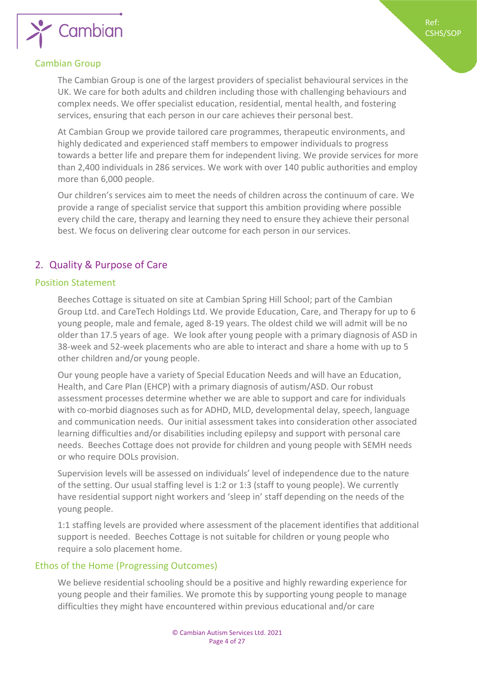

# <span id="page-3-0"></span>Cambian Group

The Cambian Group is one of the largest providers of specialist behavioural services in the UK. We care for both adults and children including those with challenging behaviours and complex needs. We offer specialist education, residential, mental health, and fostering services, ensuring that each person in our care achieves their personal best.

Ref: CSHS/SOP

At Cambian Group we provide tailored care programmes, therapeutic environments, and highly dedicated and experienced staff members to empower individuals to progress towards a better life and prepare them for independent living. We provide services for more than 2,400 individuals in 286 services. We work with over 140 public authorities and employ more than 6,000 people.

Our children's services aim to meet the needs of children across the continuum of care. We provide a range of specialist service that support this ambition providing where possible every child the care, therapy and learning they need to ensure they achieve their personal best. We focus on delivering clear outcome for each person in our services.

# <span id="page-3-1"></span>2. Quality & Purpose of Care

### <span id="page-3-2"></span>Position Statement

Beeches Cottage is situated on site at Cambian Spring Hill School; part of the Cambian Group Ltd. and CareTech Holdings Ltd. We provide Education, Care, and Therapy for up to 6 young people, male and female, aged 8-19 years. The oldest child we will admit will be no older than 17.5 years of age. We look after young people with a primary diagnosis of ASD in 38-week and 52-week placements who are able to interact and share a home with up to 5 other children and/or young people.

Our young people have a variety of Special Education Needs and will have an Education, Health, and Care Plan (EHCP) with a primary diagnosis of autism/ASD. Our robust assessment processes determine whether we are able to support and care for individuals with co-morbid diagnoses such as for ADHD, MLD, developmental delay, speech, language and communication needs. Our initial assessment takes into consideration other associated learning difficulties and/or disabilities including epilepsy and support with personal care needs. Beeches Cottage does not provide for children and young people with SEMH needs or who require DOLs provision.

Supervision levels will be assessed on individuals' level of independence due to the nature of the setting. Our usual staffing level is 1:2 or 1:3 (staff to young people). We currently have residential support night workers and 'sleep in' staff depending on the needs of the young people.

1:1 staffing levels are provided where assessment of the placement identifies that additional support is needed. Beeches Cottage is not suitable for children or young people who require a solo placement home.

# <span id="page-3-3"></span>Ethos of the Home (Progressing Outcomes)

We believe residential schooling should be a positive and highly rewarding experience for young people and their families. We promote this by supporting young people to manage difficulties they might have encountered within previous educational and/or care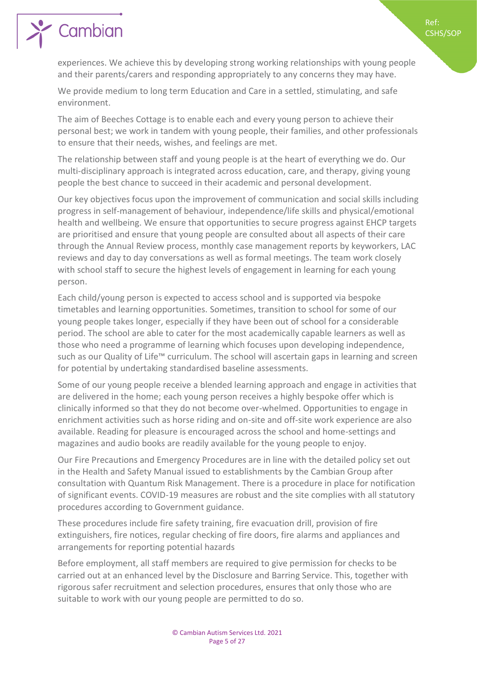Ref: CSHS/SOP

# Cambian

experiences. We achieve this by developing strong working relationships with young people and their parents/carers and responding appropriately to any concerns they may have.

We provide medium to long term Education and Care in a settled, stimulating, and safe environment.

The aim of Beeches Cottage is to enable each and every young person to achieve their personal best; we work in tandem with young people, their families, and other professionals to ensure that their needs, wishes, and feelings are met.

The relationship between staff and young people is at the heart of everything we do. Our multi-disciplinary approach is integrated across education, care, and therapy, giving young people the best chance to succeed in their academic and personal development.

Our key objectives focus upon the improvement of communication and social skills including progress in self-management of behaviour, independence/life skills and physical/emotional health and wellbeing. We ensure that opportunities to secure progress against EHCP targets are prioritised and ensure that young people are consulted about all aspects of their care through the Annual Review process, monthly case management reports by keyworkers, LAC reviews and day to day conversations as well as formal meetings. The team work closely with school staff to secure the highest levels of engagement in learning for each young person.

Each child/young person is expected to access school and is supported via bespoke timetables and learning opportunities. Sometimes, transition to school for some of our young people takes longer, especially if they have been out of school for a considerable period. The school are able to cater for the most academically capable learners as well as those who need a programme of learning which focuses upon developing independence, such as our Quality of Life™ curriculum. The school will ascertain gaps in learning and screen for potential by undertaking standardised baseline assessments.

Some of our young people receive a blended learning approach and engage in activities that are delivered in the home; each young person receives a highly bespoke offer which is clinically informed so that they do not become over-whelmed. Opportunities to engage in enrichment activities such as horse riding and on-site and off-site work experience are also available. Reading for pleasure is encouraged across the school and home-settings and magazines and audio books are readily available for the young people to enjoy.

Our Fire Precautions and Emergency Procedures are in line with the detailed policy set out in the Health and Safety Manual issued to establishments by the Cambian Group after consultation with Quantum Risk Management. There is a procedure in place for notification of significant events. COVID-19 measures are robust and the site complies with all statutory procedures according to Government guidance.

These procedures include fire safety training, fire evacuation drill, provision of fire extinguishers, fire notices, regular checking of fire doors, fire alarms and appliances and arrangements for reporting potential hazards

Before employment, all staff members are required to give permission for checks to be carried out at an enhanced level by the Disclosure and Barring Service. This, together with rigorous safer recruitment and selection procedures, ensures that only those who are suitable to work with our young people are permitted to do so.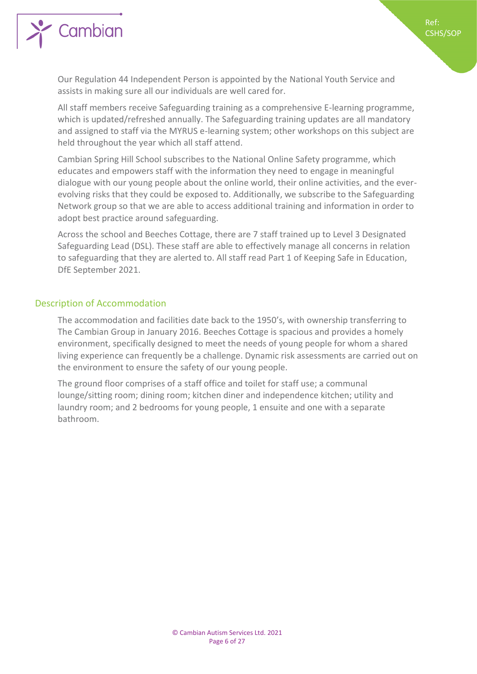

Our Regulation 44 Independent Person is appointed by the National Youth Service and assists in making sure all our individuals are well cared for.

Ref: CSHS/SOP

All staff members receive Safeguarding training as a comprehensive E-learning programme, which is updated/refreshed annually. The Safeguarding training updates are all mandatory and assigned to staff via the MYRUS e-learning system; other workshops on this subject are held throughout the year which all staff attend.

Cambian Spring Hill School subscribes to the National Online Safety programme, which educates and empowers staff with the information they need to engage in meaningful dialogue with our young people about the online world, their online activities, and the everevolving risks that they could be exposed to. Additionally, we subscribe to the Safeguarding Network group so that we are able to access additional training and information in order to adopt best practice around safeguarding.

Across the school and Beeches Cottage, there are 7 staff trained up to Level 3 Designated Safeguarding Lead (DSL). These staff are able to effectively manage all concerns in relation to safeguarding that they are alerted to. All staff read Part 1 of Keeping Safe in Education, DfE September 2021.

# <span id="page-5-0"></span>Description of Accommodation

The accommodation and facilities date back to the 1950's, with ownership transferring to The Cambian Group in January 2016. Beeches Cottage is spacious and provides a homely environment, specifically designed to meet the needs of young people for whom a shared living experience can frequently be a challenge. Dynamic risk assessments are carried out on the environment to ensure the safety of our young people.

The ground floor comprises of a staff office and toilet for staff use; a communal lounge/sitting room; dining room; kitchen diner and independence kitchen; utility and laundry room; and 2 bedrooms for young people, 1 ensuite and one with a separate bathroom.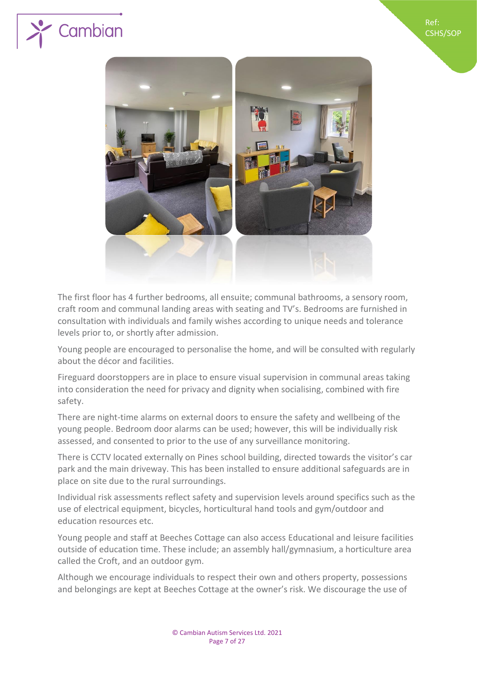





The first floor has 4 further bedrooms, all ensuite; communal bathrooms, a sensory room, craft room and communal landing areas with seating and TV's. Bedrooms are furnished in consultation with individuals and family wishes according to unique needs and tolerance levels prior to, or shortly after admission.

Young people are encouraged to personalise the home, and will be consulted with regularly about the décor and facilities.

Fireguard doorstoppers are in place to ensure visual supervision in communal areas taking into consideration the need for privacy and dignity when socialising, combined with fire safety.

There are night-time alarms on external doors to ensure the safety and wellbeing of the young people. Bedroom door alarms can be used; however, this will be individually risk assessed, and consented to prior to the use of any surveillance monitoring.

There is CCTV located externally on Pines school building, directed towards the visitor's car park and the main driveway. This has been installed to ensure additional safeguards are in place on site due to the rural surroundings.

Individual risk assessments reflect safety and supervision levels around specifics such as the use of electrical equipment, bicycles, horticultural hand tools and gym/outdoor and education resources etc.

Young people and staff at Beeches Cottage can also access Educational and leisure facilities outside of education time. These include; an assembly hall/gymnasium, a horticulture area called the Croft, and an outdoor gym.

Although we encourage individuals to respect their own and others property, possessions and belongings are kept at Beeches Cottage at the owner's risk. We discourage the use of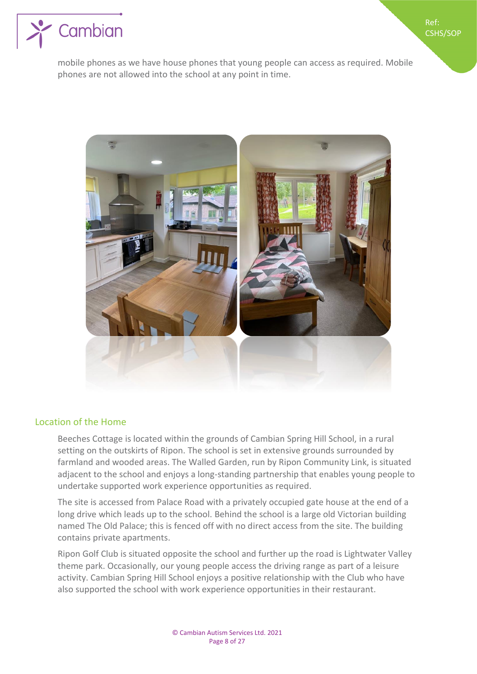

mobile phones as we have house phones that young people can access as required. Mobile phones are not allowed into the school at any point in time.

Ref: CSHS/SOP



# <span id="page-7-0"></span>Location of the Home

Beeches Cottage is located within the grounds of Cambian Spring Hill School, in a rural setting on the outskirts of Ripon. The school is set in extensive grounds surrounded by farmland and wooded areas. The Walled Garden, run by Ripon Community Link, is situated adjacent to the school and enjoys a long-standing partnership that enables young people to undertake supported work experience opportunities as required.

The site is accessed from Palace Road with a privately occupied gate house at the end of a long drive which leads up to the school. Behind the school is a large old Victorian building named The Old Palace; this is fenced off with no direct access from the site. The building contains private apartments.

Ripon Golf Club is situated opposite the school and further up the road is Lightwater Valley theme park. Occasionally, our young people access the driving range as part of a leisure activity. Cambian Spring Hill School enjoys a positive relationship with the Club who have also supported the school with work experience opportunities in their restaurant.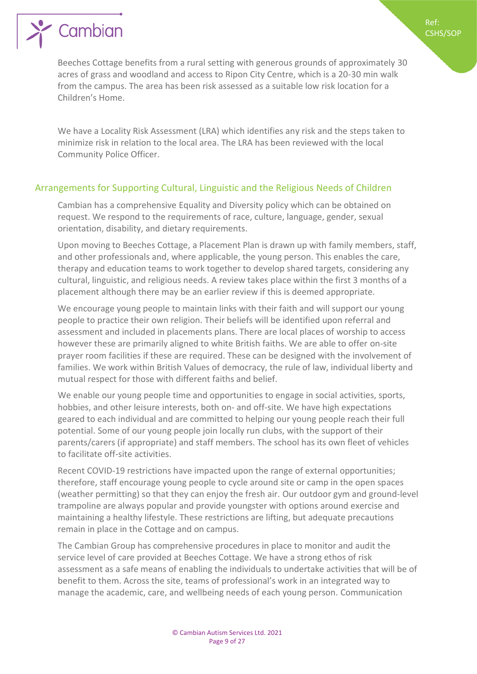

Beeches Cottage benefits from a rural setting with generous grounds of approximately 30 acres of grass and woodland and access to Ripon City Centre, which is a 20-30 min walk from the campus. The area has been risk assessed as a suitable low risk location for a Children's Home.

Ref: CSHS/SOP

We have a Locality Risk Assessment (LRA) which identifies any risk and the steps taken to minimize risk in relation to the local area. The LRA has been reviewed with the local Community Police Officer.

# <span id="page-8-0"></span>Arrangements for Supporting Cultural, Linguistic and the Religious Needs of Children

Cambian has a comprehensive Equality and Diversity policy which can be obtained on request. We respond to the requirements of race, culture, language, gender, sexual orientation, disability, and dietary requirements.

Upon moving to Beeches Cottage, a Placement Plan is drawn up with family members, staff, and other professionals and, where applicable, the young person. This enables the care, therapy and education teams to work together to develop shared targets, considering any cultural, linguistic, and religious needs. A review takes place within the first 3 months of a placement although there may be an earlier review if this is deemed appropriate.

We encourage young people to maintain links with their faith and will support our young people to practice their own religion. Their beliefs will be identified upon referral and assessment and included in placements plans. There are local places of worship to access however these are primarily aligned to white British faiths. We are able to offer on-site prayer room facilities if these are required. These can be designed with the involvement of families. We work within British Values of democracy, the rule of law, individual liberty and mutual respect for those with different faiths and belief.

We enable our young people time and opportunities to engage in social activities, sports, hobbies, and other leisure interests, both on- and off-site. We have high expectations geared to each individual and are committed to helping our young people reach their full potential. Some of our young people join locally run clubs, with the support of their parents/carers (if appropriate) and staff members. The school has its own fleet of vehicles to facilitate off-site activities.

Recent COVID-19 restrictions have impacted upon the range of external opportunities; therefore, staff encourage young people to cycle around site or camp in the open spaces (weather permitting) so that they can enjoy the fresh air. Our outdoor gym and ground-level trampoline are always popular and provide youngster with options around exercise and maintaining a healthy lifestyle. These restrictions are lifting, but adequate precautions remain in place in the Cottage and on campus.

The Cambian Group has comprehensive procedures in place to monitor and audit the service level of care provided at Beeches Cottage. We have a strong ethos of risk assessment as a safe means of enabling the individuals to undertake activities that will be of benefit to them. Across the site, teams of professional's work in an integrated way to manage the academic, care, and wellbeing needs of each young person. Communication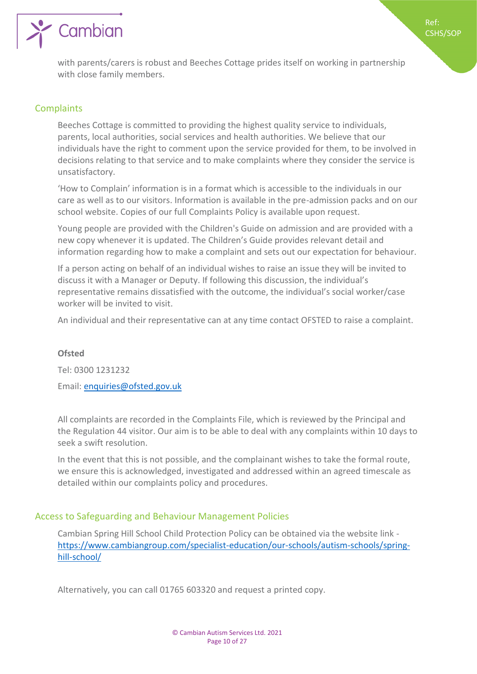

Ref: CSHS/SOP

with parents/carers is robust and Beeches Cottage prides itself on working in partnership with close family members.

# <span id="page-9-0"></span>**Complaints**

Beeches Cottage is committed to providing the highest quality service to individuals, parents, local authorities, social services and health authorities. We believe that our individuals have the right to comment upon the service provided for them, to be involved in decisions relating to that service and to make complaints where they consider the service is unsatisfactory.

'How to Complain' information is in a format which is accessible to the individuals in our care as well as to our visitors. Information is available in the pre-admission packs and on our school website. Copies of our full Complaints Policy is available upon request.

Young people are provided with the Children's Guide on admission and are provided with a new copy whenever it is updated. The Children's Guide provides relevant detail and information regarding how to make a complaint and sets out our expectation for behaviour.

If a person acting on behalf of an individual wishes to raise an issue they will be invited to discuss it with a Manager or Deputy. If following this discussion, the individual's representative remains dissatisfied with the outcome, the individual's social worker/case worker will be invited to visit.

An individual and their representative can at any time contact OFSTED to raise a complaint.

### **Ofsted**

Tel: 0300 1231232

Email: [enquiries@ofsted.gov.uk](mailto:enquiries@ofsted.gov.uk)

All complaints are recorded in the Complaints File, which is reviewed by the Principal and the Regulation 44 visitor. Our aim is to be able to deal with any complaints within 10 days to seek a swift resolution.

In the event that this is not possible, and the complainant wishes to take the formal route, we ensure this is acknowledged, investigated and addressed within an agreed timescale as detailed within our complaints policy and procedures.

# <span id="page-9-1"></span>Access to Safeguarding and Behaviour Management Policies

Cambian Spring Hill School Child Protection Policy can be obtained via the website link [https://www.cambiangroup.com/specialist-education/our-schools/autism-schools/spring](https://www.cambiangroup.com/specialist-education/our-schools/autism-schools/spring-hill-school/)[hill-school/](https://www.cambiangroup.com/specialist-education/our-schools/autism-schools/spring-hill-school/)

Alternatively, you can call 01765 603320 and request a printed copy.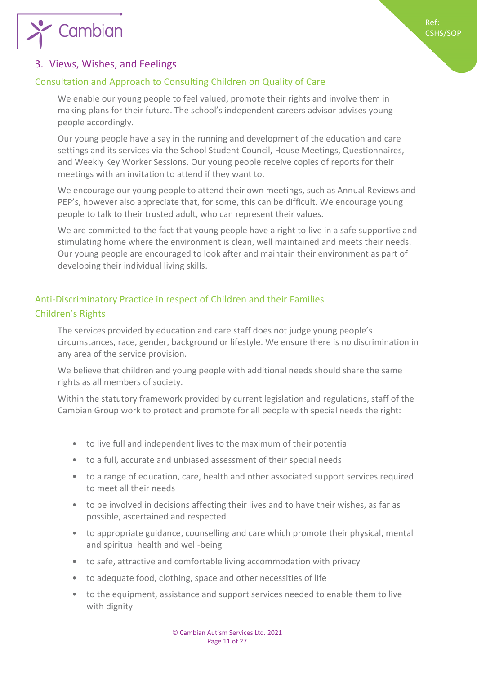

# <span id="page-10-0"></span>3. Views, Wishes, and Feelings

# <span id="page-10-1"></span>Consultation and Approach to Consulting Children on Quality of Care

We enable our young people to feel valued, promote their rights and involve them in making plans for their future. The school's independent careers advisor advises young people accordingly.

Our young people have a say in the running and development of the education and care settings and its services via the School Student Council, House Meetings, Questionnaires, and Weekly Key Worker Sessions. Our young people receive copies of reports for their meetings with an invitation to attend if they want to.

We encourage our young people to attend their own meetings, such as Annual Reviews and PEP's, however also appreciate that, for some, this can be difficult. We encourage young people to talk to their trusted adult, who can represent their values.

We are committed to the fact that young people have a right to live in a safe supportive and stimulating home where the environment is clean, well maintained and meets their needs. Our young people are encouraged to look after and maintain their environment as part of developing their individual living skills.

# <span id="page-10-3"></span><span id="page-10-2"></span>Anti-Discriminatory Practice in respect of Children and their Families Children's Rights

The services provided by education and care staff does not judge young people's circumstances, race, gender, background or lifestyle. We ensure there is no discrimination in any area of the service provision.

We believe that children and young people with additional needs should share the same rights as all members of society.

Within the statutory framework provided by current legislation and regulations, staff of the Cambian Group work to protect and promote for all people with special needs the right:

- to live full and independent lives to the maximum of their potential
- to a full, accurate and unbiased assessment of their special needs
- to a range of education, care, health and other associated support services required to meet all their needs
- to be involved in decisions affecting their lives and to have their wishes, as far as possible, ascertained and respected
- to appropriate guidance, counselling and care which promote their physical, mental and spiritual health and well-being
- to safe, attractive and comfortable living accommodation with privacy
- to adequate food, clothing, space and other necessities of life
- to the equipment, assistance and support services needed to enable them to live with dignity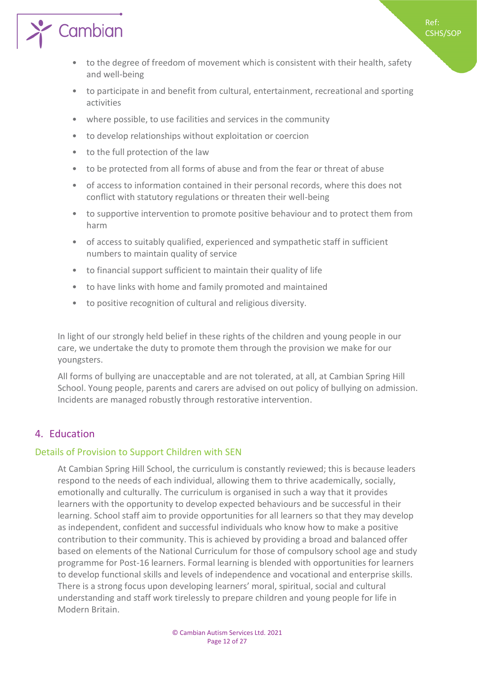



- to participate in and benefit from cultural, entertainment, recreational and sporting activities
- where possible, to use facilities and services in the community
- to develop relationships without exploitation or coercion
- to the full protection of the law

 $\sum_{i=1}^{\infty}$  Cambian

- to be protected from all forms of abuse and from the fear or threat of abuse
- of access to information contained in their personal records, where this does not conflict with statutory regulations or threaten their well-being
- to supportive intervention to promote positive behaviour and to protect them from harm
- of access to suitably qualified, experienced and sympathetic staff in sufficient numbers to maintain quality of service
- to financial support sufficient to maintain their quality of life
- to have links with home and family promoted and maintained
- to positive recognition of cultural and religious diversity.

In light of our strongly held belief in these rights of the children and young people in our care, we undertake the duty to promote them through the provision we make for our youngsters.

All forms of bullying are unacceptable and are not tolerated, at all, at Cambian Spring Hill School. Young people, parents and carers are advised on out policy of bullying on admission. Incidents are managed robustly through restorative intervention.

# <span id="page-11-0"></span>4. Education

### <span id="page-11-1"></span>Details of Provision to Support Children with SEN

At Cambian Spring Hill School, the curriculum is constantly reviewed; this is because leaders respond to the needs of each individual, allowing them to thrive academically, socially, emotionally and culturally. The curriculum is organised in such a way that it provides learners with the opportunity to develop expected behaviours and be successful in their learning. School staff aim to provide opportunities for all learners so that they may develop as independent, confident and successful individuals who know how to make a positive contribution to their community. This is achieved by providing a broad and balanced offer based on elements of the National Curriculum for those of compulsory school age and study programme for Post-16 learners. Formal learning is blended with opportunities for learners to develop functional skills and levels of independence and vocational and enterprise skills. There is a strong focus upon developing learners' moral, spiritual, social and cultural understanding and staff work tirelessly to prepare children and young people for life in Modern Britain.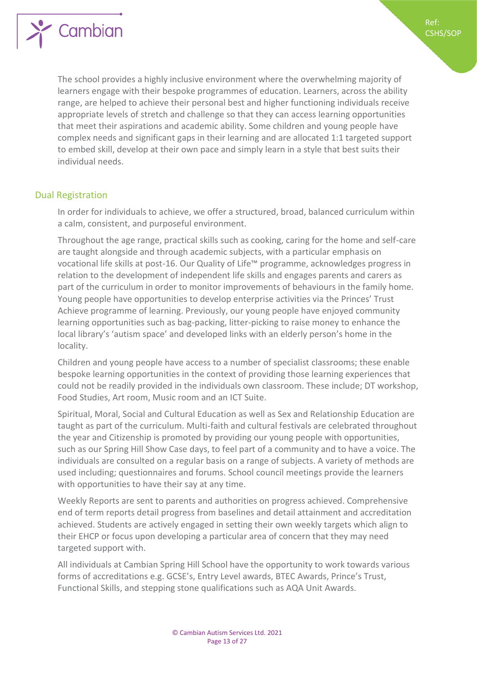



The school provides a highly inclusive environment where the overwhelming majority of learners engage with their bespoke programmes of education. Learners, across the ability range, are helped to achieve their personal best and higher functioning individuals receive appropriate levels of stretch and challenge so that they can access learning opportunities that meet their aspirations and academic ability. Some children and young people have complex needs and significant gaps in their learning and are allocated 1:1 targeted support to embed skill, develop at their own pace and simply learn in a style that best suits their individual needs.

### <span id="page-12-0"></span>Dual Registration

In order for individuals to achieve, we offer a structured, broad, balanced curriculum within a calm, consistent, and purposeful environment.

Throughout the age range, practical skills such as cooking, caring for the home and self-care are taught alongside and through academic subjects, with a particular emphasis on vocational life skills at post-16. Our Quality of Life™ programme, acknowledges progress in relation to the development of independent life skills and engages parents and carers as part of the curriculum in order to monitor improvements of behaviours in the family home. Young people have opportunities to develop enterprise activities via the Princes' Trust Achieve programme of learning. Previously, our young people have enjoyed community learning opportunities such as bag-packing, litter-picking to raise money to enhance the local library's 'autism space' and developed links with an elderly person's home in the locality.

Children and young people have access to a number of specialist classrooms; these enable bespoke learning opportunities in the context of providing those learning experiences that could not be readily provided in the individuals own classroom. These include; DT workshop, Food Studies, Art room, Music room and an ICT Suite.

Spiritual, Moral, Social and Cultural Education as well as Sex and Relationship Education are taught as part of the curriculum. Multi-faith and cultural festivals are celebrated throughout the year and Citizenship is promoted by providing our young people with opportunities, such as our Spring Hill Show Case days, to feel part of a community and to have a voice. The individuals are consulted on a regular basis on a range of subjects. A variety of methods are used including; questionnaires and forums. School council meetings provide the learners with opportunities to have their say at any time.

Weekly Reports are sent to parents and authorities on progress achieved. Comprehensive end of term reports detail progress from baselines and detail attainment and accreditation achieved. Students are actively engaged in setting their own weekly targets which align to their EHCP or focus upon developing a particular area of concern that they may need targeted support with.

All individuals at Cambian Spring Hill School have the opportunity to work towards various forms of accreditations e.g. GCSE's, Entry Level awards, BTEC Awards, Prince's Trust, Functional Skills, and stepping stone qualifications such as AQA Unit Awards.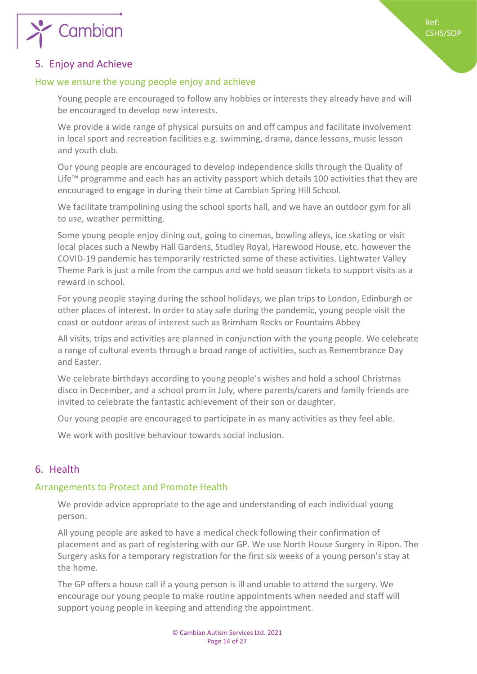

# <span id="page-13-0"></span>5. Enjoy and Achieve

# <span id="page-13-1"></span>How we ensure the young people enjoy and achieve

Young people are encouraged to follow any hobbies or interests they already have and will be encouraged to develop new interests.

We provide a wide range of physical pursuits on and off campus and facilitate involvement in local sport and recreation facilities e.g. swimming, drama, dance lessons, music lesson and youth club.

Our young people are encouraged to develop independence skills through the Quality of Life™ programme and each has an activity passport which details 100 activities that they are encouraged to engage in during their time at Cambian Spring Hill School.

We facilitate trampolining using the school sports hall, and we have an outdoor gym for all to use, weather permitting.

Some young people enjoy dining out, going to cinemas, bowling alleys, ice skating or visit local places such a Newby Hall Gardens, Studley Royal, Harewood House, etc. however the COVID-19 pandemic has temporarily restricted some of these activities. Lightwater Valley Theme Park is just a mile from the campus and we hold season tickets to support visits as a reward in school.

For young people staying during the school holidays, we plan trips to London, Edinburgh or other places of interest. In order to stay safe during the pandemic, young people visit the coast or outdoor areas of interest such as Brimham Rocks or Fountains Abbey

All visits, trips and activities are planned in conjunction with the young people. We celebrate a range of cultural events through a broad range of activities, such as Remembrance Day and Easter.

We celebrate birthdays according to young people's wishes and hold a school Christmas disco in December, and a school prom in July, where parents/carers and family friends are invited to celebrate the fantastic achievement of their son or daughter.

Our young people are encouraged to participate in as many activities as they feel able.

We work with positive behaviour towards social inclusion.

# <span id="page-13-2"></span>6. Health

# <span id="page-13-3"></span>Arrangements to Protect and Promote Health

We provide advice appropriate to the age and understanding of each individual young person.

All young people are asked to have a medical check following their confirmation of placement and as part of registering with our GP. We use North House Surgery in Ripon. The Surgery asks for a temporary registration for the first six weeks of a young person's stay at the home.

The GP offers a house call if a young person is ill and unable to attend the surgery. We encourage our young people to make routine appointments when needed and staff will support young people in keeping and attending the appointment.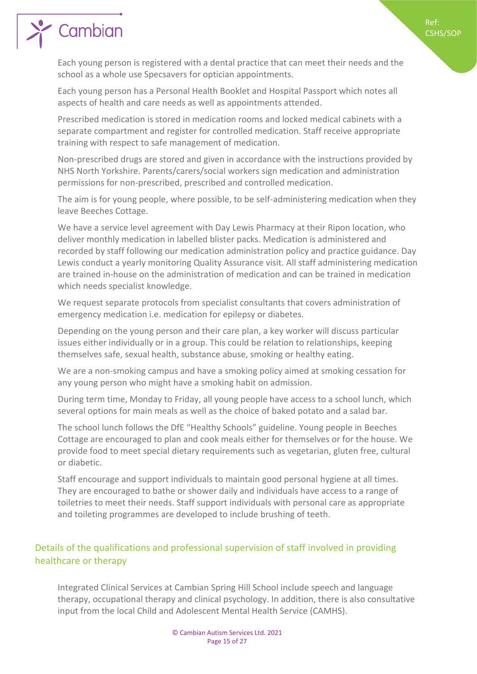

# Cambian

Each young person is registered with a dental practice that can meet their needs and the school as a whole use Specsavers for optician appointments.

Each young person has a Personal Health Booklet and Hospital Passport which notes all aspects of health and care needs as well as appointments attended.

Prescribed medication is stored in medication rooms and locked medical cabinets with a separate compartment and register for controlled medication. Staff receive appropriate training with respect to safe management of medication.

Non-prescribed drugs are stored and given in accordance with the instructions provided by NHS North Yorkshire. Parents/carers/social workers sign medication and administration permissions for non-prescribed, prescribed and controlled medication.

The aim is for young people, where possible, to be self-administering medication when they leave Beeches Cottage.

We have a service level agreement with Day Lewis Pharmacy at their Ripon location, who deliver monthly medication in labelled blister packs. Medication is administered and recorded by staff following our medication administration policy and practice guidance. Day Lewis conduct a yearly monitoring Quality Assurance visit. All staff administering medication are trained in-house on the administration of medication and can be trained in medication which needs specialist knowledge.

We request separate protocols from specialist consultants that covers administration of emergency medication i.e. medication for epilepsy or diabetes.

Depending on the young person and their care plan, a key worker will discuss particular issues either individually or in a group. This could be relation to relationships, keeping themselves safe, sexual health, substance abuse, smoking or healthy eating.

We are a non-smoking campus and have a smoking policy aimed at smoking cessation for any young person who might have a smoking habit on admission.

During term time, Monday to Friday, all young people have access to a school lunch, which several options for main meals as well as the choice of baked potato and a salad bar.

The school lunch follows the DfE "Healthy Schools" guideline. Young people in Beeches Cottage are encouraged to plan and cook meals either for themselves or for the house. We provide food to meet special dietary requirements such as vegetarian, gluten free, cultural or diabetic.

Staff encourage and support individuals to maintain good personal hygiene at all times. They are encouraged to bathe or shower daily and individuals have access to a range of toiletries to meet their needs. Staff support individuals with personal care as appropriate and toileting programmes are developed to include brushing of teeth.

# <span id="page-14-0"></span>Details of the qualifications and professional supervision of staff involved in providing healthcare or therapy

Integrated Clinical Services at Cambian Spring Hill School include speech and language therapy, occupational therapy and clinical psychology. In addition, there is also consultative input from the local Child and Adolescent Mental Health Service (CAMHS).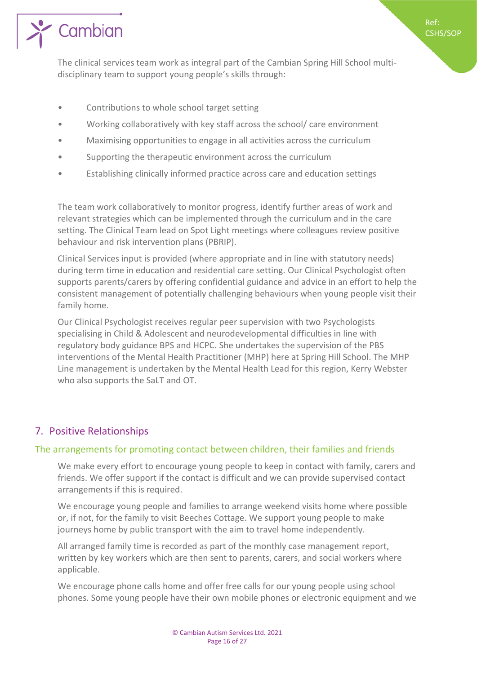

The clinical services team work as integral part of the Cambian Spring Hill School multidisciplinary team to support young people's skills through:

Ref: CSHS/SOP

- Contributions to whole school target setting
- Working collaboratively with key staff across the school/ care environment
- Maximising opportunities to engage in all activities across the curriculum
- Supporting the therapeutic environment across the curriculum
- Establishing clinically informed practice across care and education settings

The team work collaboratively to monitor progress, identify further areas of work and relevant strategies which can be implemented through the curriculum and in the care setting. The Clinical Team lead on Spot Light meetings where colleagues review positive behaviour and risk intervention plans (PBRIP).

Clinical Services input is provided (where appropriate and in line with statutory needs) during term time in education and residential care setting. Our Clinical Psychologist often supports parents/carers by offering confidential guidance and advice in an effort to help the consistent management of potentially challenging behaviours when young people visit their family home.

Our Clinical Psychologist receives regular peer supervision with two Psychologists specialising in Child & Adolescent and neurodevelopmental difficulties in line with regulatory body guidance BPS and HCPC. She undertakes the supervision of the PBS interventions of the Mental Health Practitioner (MHP) here at Spring Hill School. The MHP Line management is undertaken by the Mental Health Lead for this region, Kerry Webster who also supports the SaLT and OT.

# <span id="page-15-0"></span>7. Positive Relationships

# <span id="page-15-1"></span>The arrangements for promoting contact between children, their families and friends

We make every effort to encourage young people to keep in contact with family, carers and friends. We offer support if the contact is difficult and we can provide supervised contact arrangements if this is required.

We encourage young people and families to arrange weekend visits home where possible or, if not, for the family to visit Beeches Cottage. We support young people to make journeys home by public transport with the aim to travel home independently.

All arranged family time is recorded as part of the monthly case management report, written by key workers which are then sent to parents, carers, and social workers where applicable.

We encourage phone calls home and offer free calls for our young people using school phones. Some young people have their own mobile phones or electronic equipment and we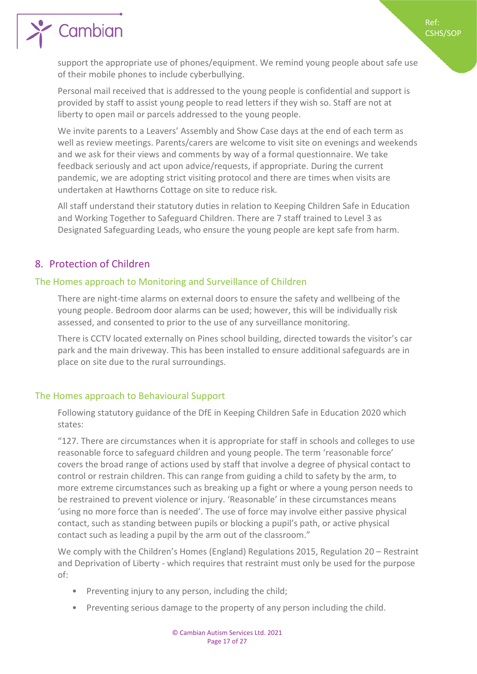

support the appropriate use of phones/equipment. We remind young people about safe use of their mobile phones to include cyberbullying.

Personal mail received that is addressed to the young people is confidential and support is provided by staff to assist young people to read letters if they wish so. Staff are not at liberty to open mail or parcels addressed to the young people.

We invite parents to a Leavers' Assembly and Show Case days at the end of each term as well as review meetings. Parents/carers are welcome to visit site on evenings and weekends and we ask for their views and comments by way of a formal questionnaire. We take feedback seriously and act upon advice/requests, if appropriate. During the current pandemic, we are adopting strict visiting protocol and there are times when visits are undertaken at Hawthorns Cottage on site to reduce risk.

All staff understand their statutory duties in relation to Keeping Children Safe in Education and Working Together to Safeguard Children. There are 7 staff trained to Level 3 as Designated Safeguarding Leads, who ensure the young people are kept safe from harm.

# <span id="page-16-0"></span>8. Protection of Children

# <span id="page-16-1"></span>The Homes approach to Monitoring and Surveillance of Children

There are night-time alarms on external doors to ensure the safety and wellbeing of the young people. Bedroom door alarms can be used; however, this will be individually risk assessed, and consented to prior to the use of any surveillance monitoring.

There is CCTV located externally on Pines school building, directed towards the visitor's car park and the main driveway. This has been installed to ensure additional safeguards are in place on site due to the rural surroundings.

# <span id="page-16-2"></span>The Homes approach to Behavioural Support

Following statutory guidance of the DfE in Keeping Children Safe in Education 2020 which states:

"127. There are circumstances when it is appropriate for staff in schools and colleges to use reasonable force to safeguard children and young people. The term 'reasonable force' covers the broad range of actions used by staff that involve a degree of physical contact to control or restrain children. This can range from guiding a child to safety by the arm, to more extreme circumstances such as breaking up a fight or where a young person needs to be restrained to prevent violence or injury. 'Reasonable' in these circumstances means 'using no more force than is needed'. The use of force may involve either passive physical contact, such as standing between pupils or blocking a pupil's path, or active physical contact such as leading a pupil by the arm out of the classroom."

We comply with the Children's Homes (England) Regulations 2015, Regulation 20 – Restraint and Deprivation of Liberty - which requires that restraint must only be used for the purpose of:

- Preventing injury to any person, including the child;
- Preventing serious damage to the property of any person including the child.

Ref: CSHS/SOP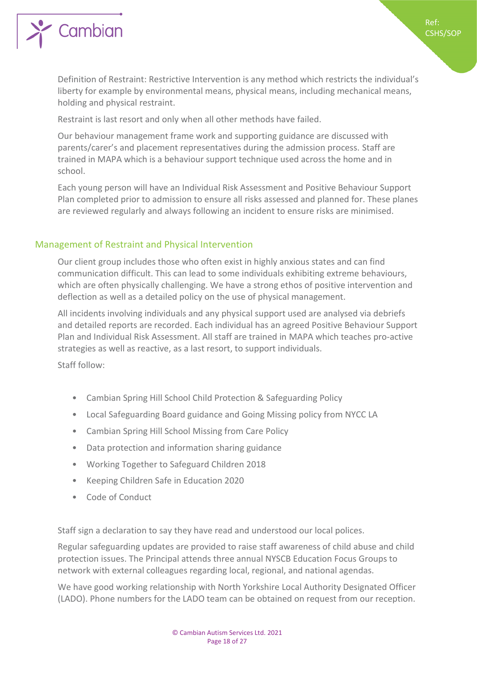

Definition of Restraint: Restrictive Intervention is any method which restricts the individual's liberty for example by environmental means, physical means, including mechanical means, holding and physical restraint.

Restraint is last resort and only when all other methods have failed.

Our behaviour management frame work and supporting guidance are discussed with parents/carer's and placement representatives during the admission process. Staff are trained in MAPA which is a behaviour support technique used across the home and in school.

Each young person will have an Individual Risk Assessment and Positive Behaviour Support Plan completed prior to admission to ensure all risks assessed and planned for. These planes are reviewed regularly and always following an incident to ensure risks are minimised.

# <span id="page-17-0"></span>Management of Restraint and Physical Intervention

Our client group includes those who often exist in highly anxious states and can find communication difficult. This can lead to some individuals exhibiting extreme behaviours, which are often physically challenging. We have a strong ethos of positive intervention and deflection as well as a detailed policy on the use of physical management.

All incidents involving individuals and any physical support used are analysed via debriefs and detailed reports are recorded. Each individual has an agreed Positive Behaviour Support Plan and Individual Risk Assessment. All staff are trained in MAPA which teaches pro-active strategies as well as reactive, as a last resort, to support individuals.

Staff follow:

- Cambian Spring Hill School Child Protection & Safeguarding Policy
- Local Safeguarding Board guidance and Going Missing policy from NYCC LA
- Cambian Spring Hill School Missing from Care Policy
- Data protection and information sharing guidance
- Working Together to Safeguard Children 2018
- Keeping Children Safe in Education 2020
- Code of Conduct

Staff sign a declaration to say they have read and understood our local polices.

Regular safeguarding updates are provided to raise staff awareness of child abuse and child protection issues. The Principal attends three annual NYSCB Education Focus Groups to network with external colleagues regarding local, regional, and national agendas.

We have good working relationship with North Yorkshire Local Authority Designated Officer (LADO). Phone numbers for the LADO team can be obtained on request from our reception.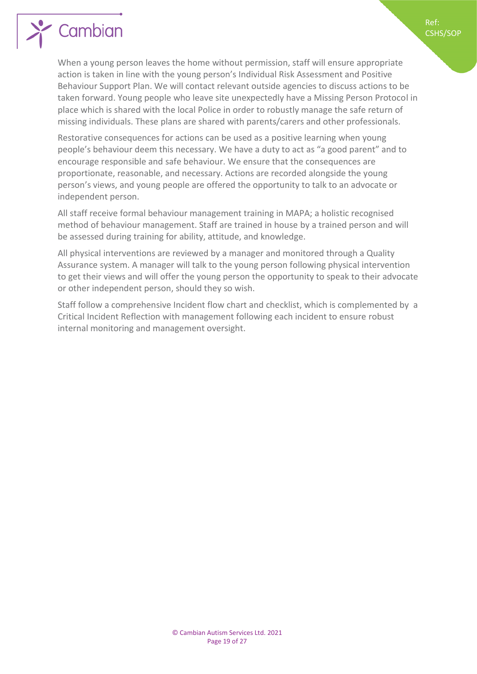

When a young person leaves the home without permission, staff will ensure appropriate action is taken in line with the young person's Individual Risk Assessment and Positive Behaviour Support Plan. We will contact relevant outside agencies to discuss actions to be taken forward. Young people who leave site unexpectedly have a Missing Person Protocol in place which is shared with the local Police in order to robustly manage the safe return of missing individuals. These plans are shared with parents/carers and other professionals.

Ref: CSHS/SOP

Restorative consequences for actions can be used as a positive learning when young people's behaviour deem this necessary. We have a duty to act as "a good parent" and to encourage responsible and safe behaviour. We ensure that the consequences are proportionate, reasonable, and necessary. Actions are recorded alongside the young person's views, and young people are offered the opportunity to talk to an advocate or independent person.

All staff receive formal behaviour management training in MAPA; a holistic recognised method of behaviour management. Staff are trained in house by a trained person and will be assessed during training for ability, attitude, and knowledge.

All physical interventions are reviewed by a manager and monitored through a Quality Assurance system. A manager will talk to the young person following physical intervention to get their views and will offer the young person the opportunity to speak to their advocate or other independent person, should they so wish.

Staff follow a comprehensive Incident flow chart and checklist, which is complemented by a Critical Incident Reflection with management following each incident to ensure robust internal monitoring and management oversight.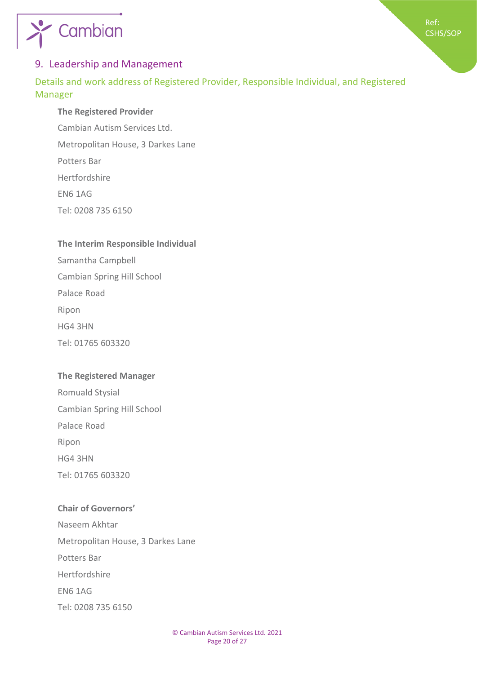



# <span id="page-19-0"></span>9. Leadership and Management

<span id="page-19-1"></span>Details and work address of Registered Provider, Responsible Individual, and Registered Manager

# **The Registered Provider**

Cambian Autism Services Ltd. Metropolitan House, 3 Darkes Lane Potters Bar Hertfordshire EN6 1AG Tel: 0208 735 6150

# **The Interim Responsible Individual**

Samantha Campbell Cambian Spring Hill School Palace Road Ripon HG4 3HN Tel: 01765 603320

# **The Registered Manager**

Romuald Stysial Cambian Spring Hill School Palace Road Ripon HG4 3HN Tel: 01765 603320

**Chair of Governors'** Naseem Akhtar Metropolitan House, 3 Darkes Lane Potters Bar Hertfordshire EN6 1AG Tel: 0208 735 6150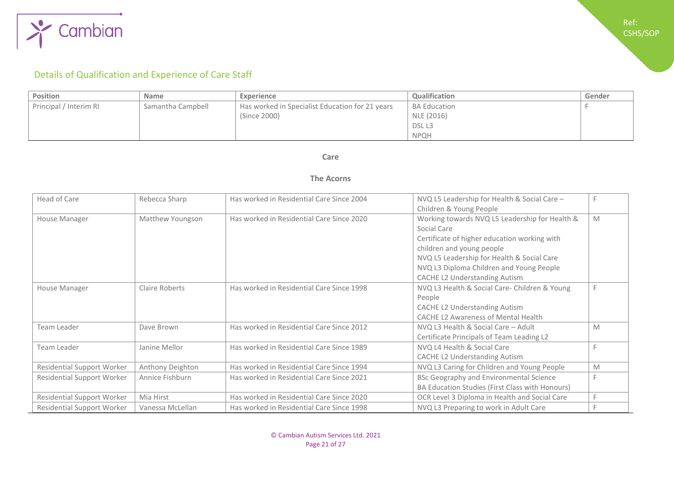

# Details of Qualification and Experience of Care Staff

| Position               | <b>Name</b>       | Experience                                      | <b>Qualification</b> | Gender |
|------------------------|-------------------|-------------------------------------------------|----------------------|--------|
| Principal / Interim RI | Samantha Campbell | Has worked in Specialist Education for 21 years | <b>BA Education</b>  |        |
|                        |                   | (Since 2000)                                    | NLE (2016)           |        |
|                        |                   |                                                 | DSL <sub>L3</sub>    |        |
|                        |                   |                                                 | <b>NPOH</b>          |        |

#### **Care**

### **The Acorns**

<span id="page-20-0"></span>

| Head of Care                      | Rebecca Sharp    | Has worked in Residential Care Since 2004 | NVQ L5 Leadership for Health & Social Care -<br>Children & Young People                                                                                                                                                                                                      |   |
|-----------------------------------|------------------|-------------------------------------------|------------------------------------------------------------------------------------------------------------------------------------------------------------------------------------------------------------------------------------------------------------------------------|---|
| House Manager                     | Matthew Youngson | Has worked in Residential Care Since 2020 | Working towards NVQ L5 Leadership for Health &<br>Social Care<br>Certificate of higher education working with<br>children and young people<br>NVQ L5 Leadership for Health & Social Care<br>NVQ L3 Diploma Children and Young People<br><b>CACHE L2 Understanding Autism</b> | M |
| House Manager                     | Claire Roberts   | Has worked in Residential Care Since 1998 | NVQ L3 Health & Social Care- Children & Young<br>People<br><b>CACHE L2 Understanding Autism</b><br><b>CACHE L2 Awareness of Mental Health</b>                                                                                                                                |   |
| Team Leader                       | Dave Brown       | Has worked in Residential Care Since 2012 | NVQ L3 Health & Social Care - Adult<br>Certificate Principals of Team Leading L2                                                                                                                                                                                             | M |
| Team Leader                       | Janine Mellor    | Has worked in Residential Care Since 1989 | NVQ L4 Health & Social Care<br><b>CACHE L2 Understanding Autism</b>                                                                                                                                                                                                          |   |
| <b>Residential Support Worker</b> | Anthony Deighton | Has worked in Residential Care Since 1994 | NVQ L3 Caring for Children and Young People                                                                                                                                                                                                                                  | M |
| <b>Residential Support Worker</b> | Annice Fishburn  | Has worked in Residential Care Since 2021 | <b>BSc Geography and Environmental Science</b><br>BA Education Studies (First Class with Honours)                                                                                                                                                                            |   |
| <b>Residential Support Worker</b> | Mia Hirst        | Has worked in Residential Care Since 2020 | OCR Level 3 Diploma in Health and Social Care                                                                                                                                                                                                                                |   |
| <b>Residential Support Worker</b> | Vanessa McLellan | Has worked in Residential Care Since 1998 | NVQ L3 Preparing to work in Adult Care                                                                                                                                                                                                                                       |   |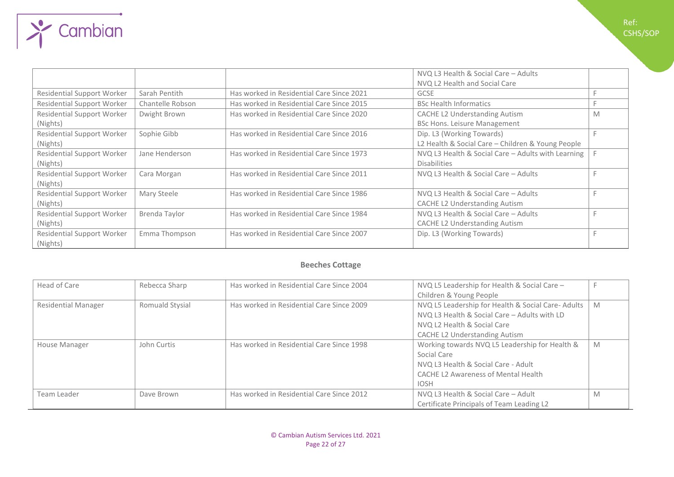|                                   |                  |                                           | NVQ L3 Health & Social Care - Adults               |   |
|-----------------------------------|------------------|-------------------------------------------|----------------------------------------------------|---|
|                                   |                  |                                           | NVQ L2 Health and Social Care                      |   |
| <b>Residential Support Worker</b> | Sarah Pentith    | Has worked in Residential Care Since 2021 | <b>GCSE</b>                                        |   |
| <b>Residential Support Worker</b> | Chantelle Robson | Has worked in Residential Care Since 2015 | <b>BSc Health Informatics</b>                      |   |
| <b>Residential Support Worker</b> | Dwight Brown     | Has worked in Residential Care Since 2020 | <b>CACHE L2 Understanding Autism</b>               | M |
| (Nights)                          |                  |                                           | <b>BSc Hons. Leisure Management</b>                |   |
| <b>Residential Support Worker</b> | Sophie Gibb      | Has worked in Residential Care Since 2016 | Dip. L3 (Working Towards)                          |   |
| (Nights)                          |                  |                                           | L2 Health & Social Care – Children & Young People  |   |
| <b>Residential Support Worker</b> | Jane Henderson   | Has worked in Residential Care Since 1973 | NVQ L3 Health & Social Care - Adults with Learning |   |
| (Nights)                          |                  |                                           | <b>Disabilities</b>                                |   |
| <b>Residential Support Worker</b> | Cara Morgan      | Has worked in Residential Care Since 2011 | NVQ L3 Health & Social Care - Adults               |   |
| (Nights)                          |                  |                                           |                                                    |   |
| <b>Residential Support Worker</b> | Mary Steele      | Has worked in Residential Care Since 1986 | NVQ L3 Health & Social Care - Adults               |   |
| (Nights)                          |                  |                                           | <b>CACHE L2 Understanding Autism</b>               |   |
| <b>Residential Support Worker</b> | Brenda Taylor    | Has worked in Residential Care Since 1984 | NVQ L3 Health & Social Care - Adults               |   |
| (Nights)                          |                  |                                           | <b>CACHE L2 Understanding Autism</b>               |   |
| <b>Residential Support Worker</b> | Emma Thompson    | Has worked in Residential Care Since 2007 | Dip. L3 (Working Towards)                          |   |
| (Nights)                          |                  |                                           |                                                    |   |

 $\rightarrow$  Cambian

Ref: CSHS/SOP

# **Beeches Cottage**

| Head of Care               | Rebecca Sharp   | Has worked in Residential Care Since 2004 | NVQ L5 Leadership for Health & Social Care -      |   |
|----------------------------|-----------------|-------------------------------------------|---------------------------------------------------|---|
|                            |                 |                                           | Children & Young People                           |   |
| <b>Residential Manager</b> | Romuald Stysial | Has worked in Residential Care Since 2009 | NVQ L5 Leadership for Health & Social Care-Adults | M |
|                            |                 |                                           | NVQ L3 Health & Social Care - Adults with LD      |   |
|                            |                 |                                           | NVQ L2 Health & Social Care                       |   |
|                            |                 |                                           | CACHE L2 Understanding Autism                     |   |
| House Manager              | John Curtis     | Has worked in Residential Care Since 1998 | Working towards NVQ L5 Leadership for Health &    | M |
|                            |                 |                                           | Social Care                                       |   |
|                            |                 |                                           | NVQ L3 Health & Social Care - Adult               |   |
|                            |                 |                                           | <b>CACHE L2 Awareness of Mental Health</b>        |   |
|                            |                 |                                           | <b>IOSH</b>                                       |   |
| Team Leader                | Dave Brown      | Has worked in Residential Care Since 2012 | NVQ L3 Health & Social Care - Adult               | M |
|                            |                 |                                           | Certificate Principals of Team Leading L2         |   |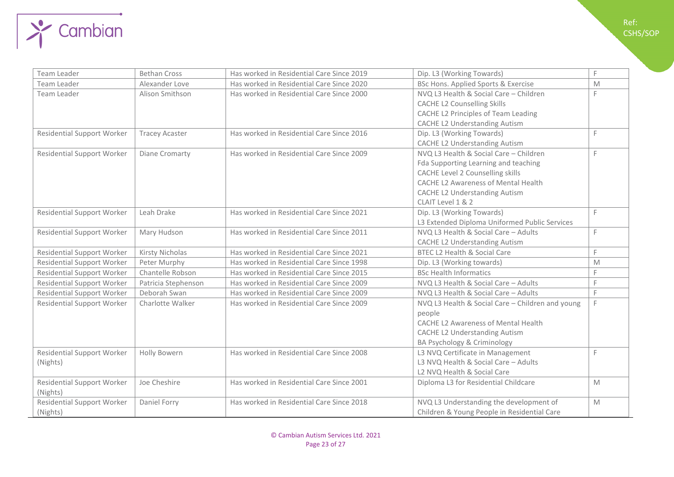

| Team Leader                       | <b>Bethan Cross</b>   | Has worked in Residential Care Since 2019 | Dip. L3 (Working Towards)                        | F |
|-----------------------------------|-----------------------|-------------------------------------------|--------------------------------------------------|---|
| Team Leader                       | Alexander Love        | Has worked in Residential Care Since 2020 | BSc Hons. Applied Sports & Exercise              | M |
| Team Leader                       | Alison Smithson       | Has worked in Residential Care Since 2000 | NVQ L3 Health & Social Care - Children           | F |
|                                   |                       |                                           | <b>CACHE L2 Counselling Skills</b>               |   |
|                                   |                       |                                           | CACHE L2 Principles of Team Leading              |   |
|                                   |                       |                                           | <b>CACHE L2 Understanding Autism</b>             |   |
| <b>Residential Support Worker</b> | <b>Tracey Acaster</b> | Has worked in Residential Care Since 2016 | Dip. L3 (Working Towards)                        | F |
|                                   |                       |                                           | <b>CACHE L2 Understanding Autism</b>             |   |
| <b>Residential Support Worker</b> | Diane Cromarty        | Has worked in Residential Care Since 2009 | NVQ L3 Health & Social Care - Children           | F |
|                                   |                       |                                           | Fda Supporting Learning and teaching             |   |
|                                   |                       |                                           | <b>CACHE Level 2 Counselling skills</b>          |   |
|                                   |                       |                                           | <b>CACHE L2 Awareness of Mental Health</b>       |   |
|                                   |                       |                                           | <b>CACHE L2 Understanding Autism</b>             |   |
|                                   |                       |                                           | CLAIT Level 1 & 2                                |   |
| <b>Residential Support Worker</b> | Leah Drake            | Has worked in Residential Care Since 2021 | Dip. L3 (Working Towards)                        | F |
|                                   |                       |                                           | L3 Extended Diploma Uniformed Public Services    |   |
| <b>Residential Support Worker</b> | Mary Hudson           | Has worked in Residential Care Since 2011 | NVQ L3 Health & Social Care - Adults             | F |
|                                   |                       |                                           | <b>CACHE L2 Understanding Autism</b>             |   |
| <b>Residential Support Worker</b> | Kirsty Nicholas       | Has worked in Residential Care Since 2021 | BTEC L2 Health & Social Care                     | F |
| <b>Residential Support Worker</b> | Peter Murphy          | Has worked in Residential Care Since 1998 | Dip. L3 (Working towards)                        | M |
| <b>Residential Support Worker</b> | Chantelle Robson      | Has worked in Residential Care Since 2015 | <b>BSc Health Informatics</b>                    | E |
| <b>Residential Support Worker</b> | Patricia Stephenson   | Has worked in Residential Care Since 2009 | NVQ L3 Health & Social Care - Adults             | F |
| <b>Residential Support Worker</b> | Deborah Swan          | Has worked in Residential Care Since 2009 | NVQ L3 Health & Social Care - Adults             | F |
| <b>Residential Support Worker</b> | Charlotte Walker      | Has worked in Residential Care Since 2009 | NVQ L3 Health & Social Care - Children and young | F |
|                                   |                       |                                           | people                                           |   |
|                                   |                       |                                           | CACHE L2 Awareness of Mental Health              |   |
|                                   |                       |                                           | <b>CACHE L2 Understanding Autism</b>             |   |
|                                   |                       |                                           | BA Psychology & Criminology                      |   |
| <b>Residential Support Worker</b> | Holly Bowern          | Has worked in Residential Care Since 2008 | L3 NVQ Certificate in Management                 | F |
| (Nights)                          |                       |                                           | L3 NVQ Health & Social Care - Adults             |   |
|                                   |                       |                                           | L2 NVQ Health & Social Care                      |   |
| <b>Residential Support Worker</b> | Joe Cheshire          | Has worked in Residential Care Since 2001 | Diploma L3 for Residential Childcare             | M |
| (Nights)                          |                       |                                           |                                                  |   |
| <b>Residential Support Worker</b> | Daniel Forry          | Has worked in Residential Care Since 2018 | NVQ L3 Understanding the development of          | M |
| (Nights)                          |                       |                                           | Children & Young People in Residential Care      |   |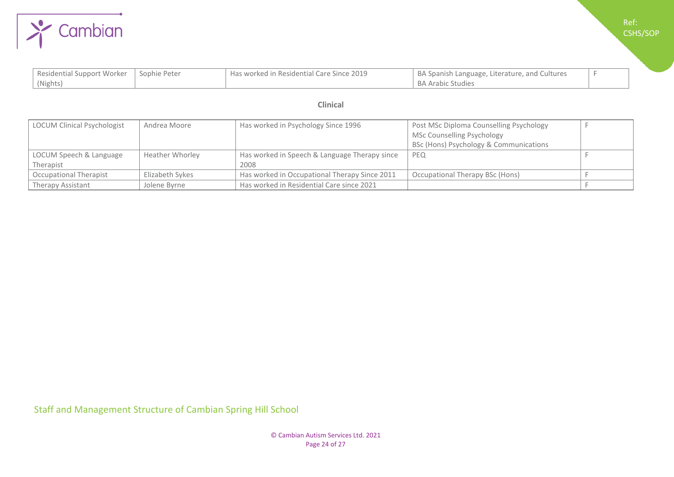

| Residential Support Worker   Sophie Peter | Has worked in Residential Care Since 2019 | BA Spanish Language, Literature, and Cultures |  |
|-------------------------------------------|-------------------------------------------|-----------------------------------------------|--|
| (Nights)                                  |                                           | <b>BA Arabic Studies</b>                      |  |

### **Clinical**

| LOCUM Clinical Psychologist | Andrea Moore           | Has worked in Psychology Since 1996           | Post MSc Diploma Counselling Psychology |  |
|-----------------------------|------------------------|-----------------------------------------------|-----------------------------------------|--|
|                             |                        |                                               | MSc Counselling Psychology              |  |
|                             |                        |                                               | BSc (Hons) Psychology & Communications  |  |
| LOCUM Speech & Language     | <b>Heather Whorley</b> | Has worked in Speech & Language Therapy since | <b>PEQ</b>                              |  |
| Therapist                   |                        | 2008                                          |                                         |  |
| Occupational Therapist      | Elizabeth Sykes        | Has worked in Occupational Therapy Since 2011 | Occupational Therapy BSc (Hons)         |  |
| Therapy Assistant           | Jolene Byrne           | Has worked in Residential Care since 2021     |                                         |  |

Staff and Management Structure of Cambian Spring Hill School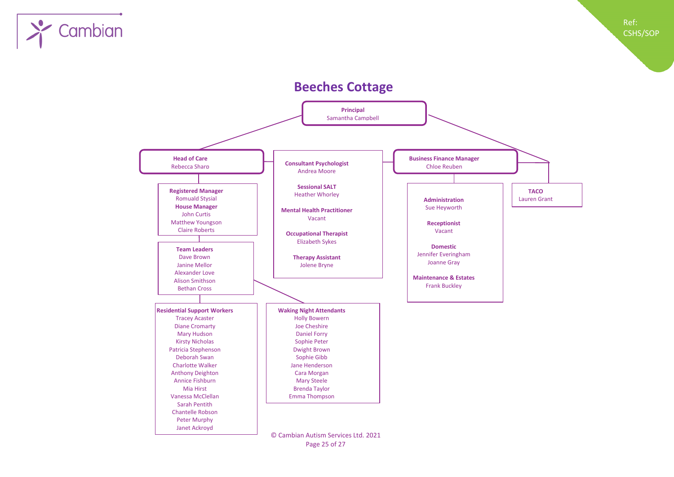

# **Beeches Cottage**



Page 25 of 27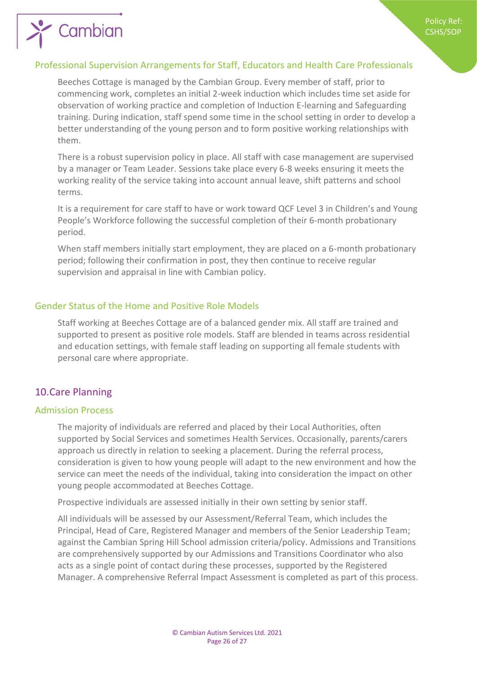# <span id="page-25-0"></span>Professional Supervision Arrangements for Staff, Educators and Health Care Professionals

Beeches Cottage is managed by the Cambian Group. Every member of staff, prior to commencing work, completes an initial 2-week induction which includes time set aside for observation of working practice and completion of Induction E-learning and Safeguarding training. During indication, staff spend some time in the school setting in order to develop a better understanding of the young person and to form positive working relationships with them.

There is a robust supervision policy in place. All staff with case management are supervised by a manager or Team Leader. Sessions take place every 6-8 weeks ensuring it meets the working reality of the service taking into account annual leave, shift patterns and school terms.

It is a requirement for care staff to have or work toward QCF Level 3 in Children's and Young People's Workforce following the successful completion of their 6-month probationary period.

When staff members initially start employment, they are placed on a 6-month probationary period; following their confirmation in post, they then continue to receive regular supervision and appraisal in line with Cambian policy.

# <span id="page-25-1"></span>Gender Status of the Home and Positive Role Models

Staff working at Beeches Cottage are of a balanced gender mix. All staff are trained and supported to present as positive role models. Staff are blended in teams across residential and education settings, with female staff leading on supporting all female students with personal care where appropriate.

# <span id="page-25-2"></span>10.Care Planning

Cambian

### <span id="page-25-3"></span>Admission Process

The majority of individuals are referred and placed by their Local Authorities, often supported by Social Services and sometimes Health Services. Occasionally, parents/carers approach us directly in relation to seeking a placement. During the referral process, consideration is given to how young people will adapt to the new environment and how the service can meet the needs of the individual, taking into consideration the impact on other young people accommodated at Beeches Cottage.

Prospective individuals are assessed initially in their own setting by senior staff.

All individuals will be assessed by our Assessment/Referral Team, which includes the Principal, Head of Care, Registered Manager and members of the Senior Leadership Team; against the Cambian Spring Hill School admission criteria/policy. Admissions and Transitions are comprehensively supported by our Admissions and Transitions Coordinator who also acts as a single point of contact during these processes, supported by the Registered Manager. A comprehensive Referral Impact Assessment is completed as part of this process.